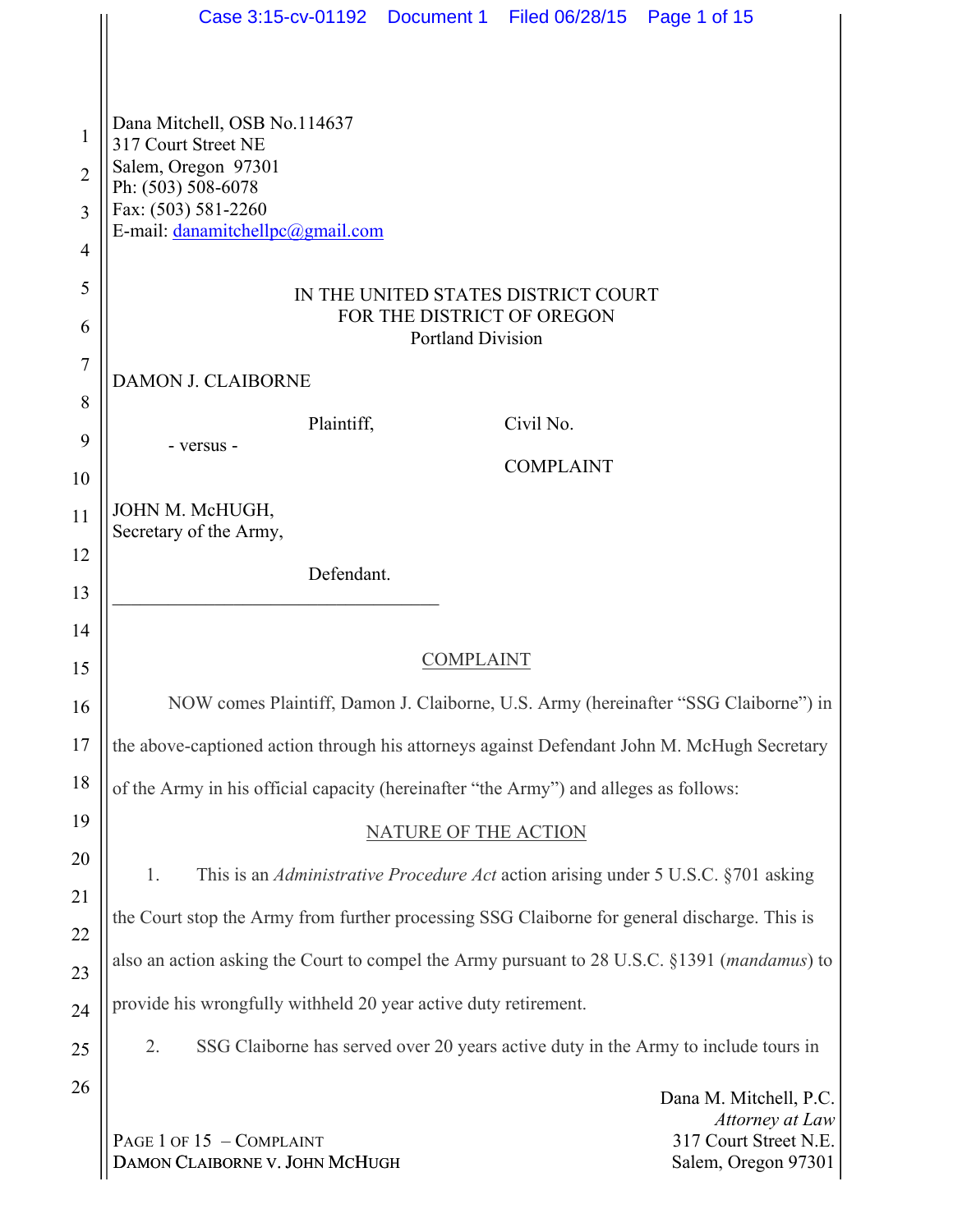|                | Case 3:15-cv-01192  Document 1  Filed 06/28/15  Page 1 of 15                                                                                            |  |  |  |  |  |  |
|----------------|---------------------------------------------------------------------------------------------------------------------------------------------------------|--|--|--|--|--|--|
|                |                                                                                                                                                         |  |  |  |  |  |  |
| 1              | Dana Mitchell, OSB No.114637                                                                                                                            |  |  |  |  |  |  |
| $\overline{2}$ | 317 Court Street NE<br>Salem, Oregon 97301                                                                                                              |  |  |  |  |  |  |
| $\overline{3}$ | Ph: (503) 508-6078<br>Fax: (503) 581-2260                                                                                                               |  |  |  |  |  |  |
| $\overline{4}$ | E-mail: danamitchellpc@gmail.com                                                                                                                        |  |  |  |  |  |  |
| 5              | IN THE UNITED STATES DISTRICT COURT                                                                                                                     |  |  |  |  |  |  |
| 6              | FOR THE DISTRICT OF OREGON                                                                                                                              |  |  |  |  |  |  |
| 7              | <b>Portland Division</b>                                                                                                                                |  |  |  |  |  |  |
| 8              | <b>DAMON J. CLAIBORNE</b>                                                                                                                               |  |  |  |  |  |  |
| 9              | Plaintiff,<br>Civil No.<br>- versus -                                                                                                                   |  |  |  |  |  |  |
| 10             | <b>COMPLAINT</b>                                                                                                                                        |  |  |  |  |  |  |
| 11             | JOHN M. McHUGH,                                                                                                                                         |  |  |  |  |  |  |
| 12             | Secretary of the Army,                                                                                                                                  |  |  |  |  |  |  |
| 13             | Defendant.                                                                                                                                              |  |  |  |  |  |  |
| 14             |                                                                                                                                                         |  |  |  |  |  |  |
| 15             | COMPLAINT                                                                                                                                               |  |  |  |  |  |  |
| 16             | NOW comes Plaintiff, Damon J. Claiborne, U.S. Army (hereinafter "SSG Claiborne") in                                                                     |  |  |  |  |  |  |
| 17             | the above-captioned action through his attorneys against Defendant John M. McHugh Secretary                                                             |  |  |  |  |  |  |
| 18             | of the Army in his official capacity (hereinafter "the Army") and alleges as follows:                                                                   |  |  |  |  |  |  |
| 19             | NATURE OF THE ACTION                                                                                                                                    |  |  |  |  |  |  |
| 20             | This is an <i>Administrative Procedure Act</i> action arising under 5 U.S.C. §701 asking<br>1.                                                          |  |  |  |  |  |  |
| 21             | the Court stop the Army from further processing SSG Claiborne for general discharge. This is                                                            |  |  |  |  |  |  |
| 22<br>23       | also an action asking the Court to compel the Army pursuant to 28 U.S.C. §1391 ( <i>mandamus</i> ) to                                                   |  |  |  |  |  |  |
| 24             | provide his wrongfully withheld 20 year active duty retirement.                                                                                         |  |  |  |  |  |  |
| 25             | 2.<br>SSG Claiborne has served over 20 years active duty in the Army to include tours in                                                                |  |  |  |  |  |  |
| 26             |                                                                                                                                                         |  |  |  |  |  |  |
|                | Dana M. Mitchell, P.C.<br>Attorney at Law<br>PAGE 1 OF 15 - COMPLAINT<br>317 Court Street N.E.<br>DAMON CLAIBORNE V. JOHN MCHUGH<br>Salem, Oregon 97301 |  |  |  |  |  |  |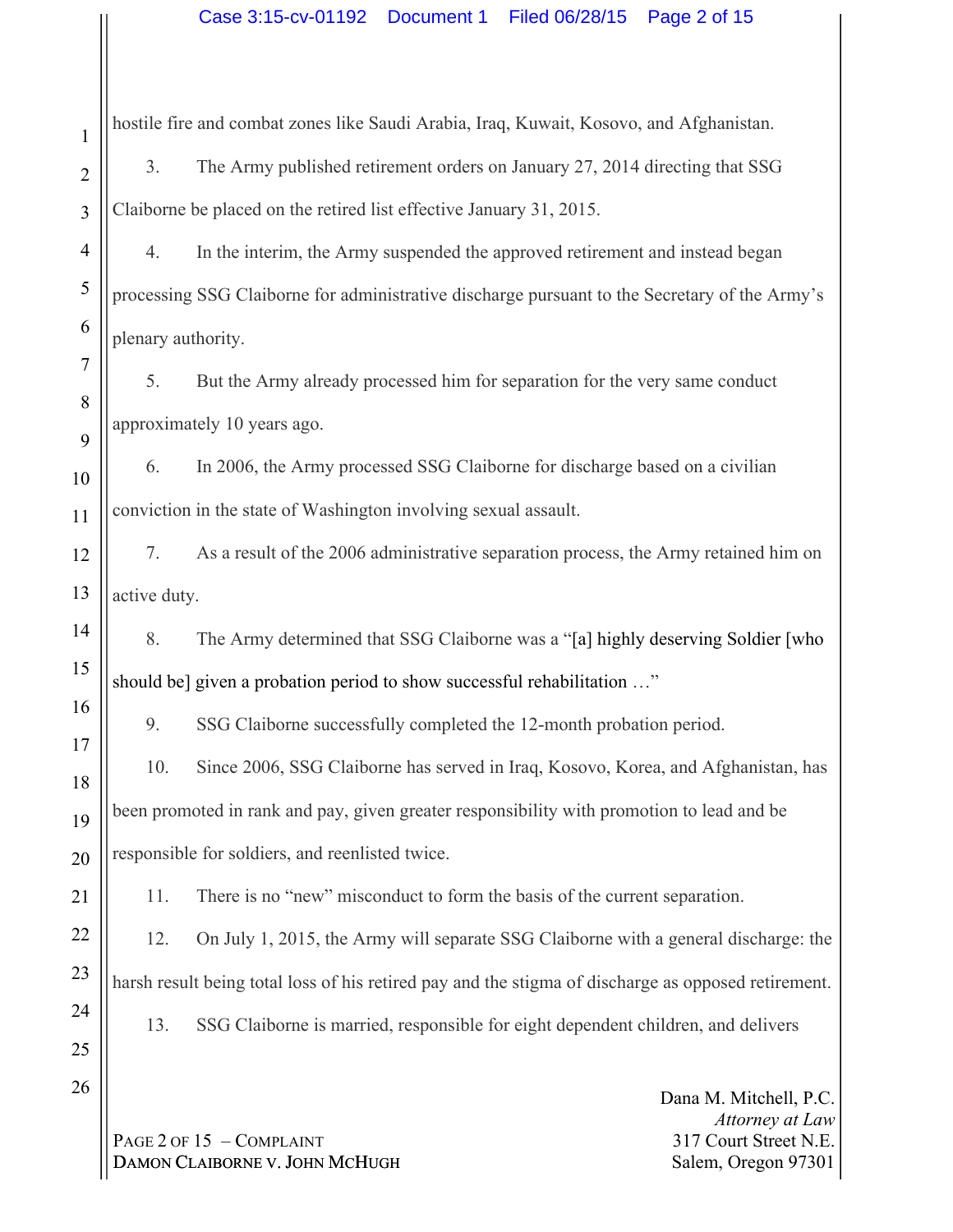hostile fire and combat zones like Saudi Arabia, Iraq, Kuwait, Kosovo, and Afghanistan.

3. The Army published retirement orders on January 27, 2014 directing that SSG Claiborne be placed on the retired list effective January 31, 2015.

4. In the interim, the Army suspended the approved retirement and instead began processing SSG Claiborne for administrative discharge pursuant to the Secretary of the Army's plenary authority.

5. But the Army already processed him for separation for the very same conduct approximately 10 years ago.

6. In 2006, the Army processed SSG Claiborne for discharge based on a civilian conviction in the state of Washington involving sexual assault.

7. As a result of the 2006 administrative separation process, the Army retained him on active duty.

8. The Army determined that SSG Claiborne was a "[a] highly deserving Soldier [who should be] given a probation period to show successful rehabilitation …"

9. SSG Claiborne successfully completed the 12-month probation period.

10. Since 2006, SSG Claiborne has served in Iraq, Kosovo, Korea, and Afghanistan, has been promoted in rank and pay, given greater responsibility with promotion to lead and be responsible for soldiers, and reenlisted twice.

11. There is no "new" misconduct to form the basis of the current separation.

12. On July 1, 2015, the Army will separate SSG Claiborne with a general discharge: the harsh result being total loss of his retired pay and the stigma of discharge as opposed retirement.

13. SSG Claiborne is married, responsible for eight dependent children, and delivers

Dana M. Mitchell, P.C. *Attorney at Law* 317 Court Street N.E. Salem, Oregon 97301

PAGE 2 OF 15 - COMPLAINT DAMON CLAIBORNE V. JOHN MCHUGH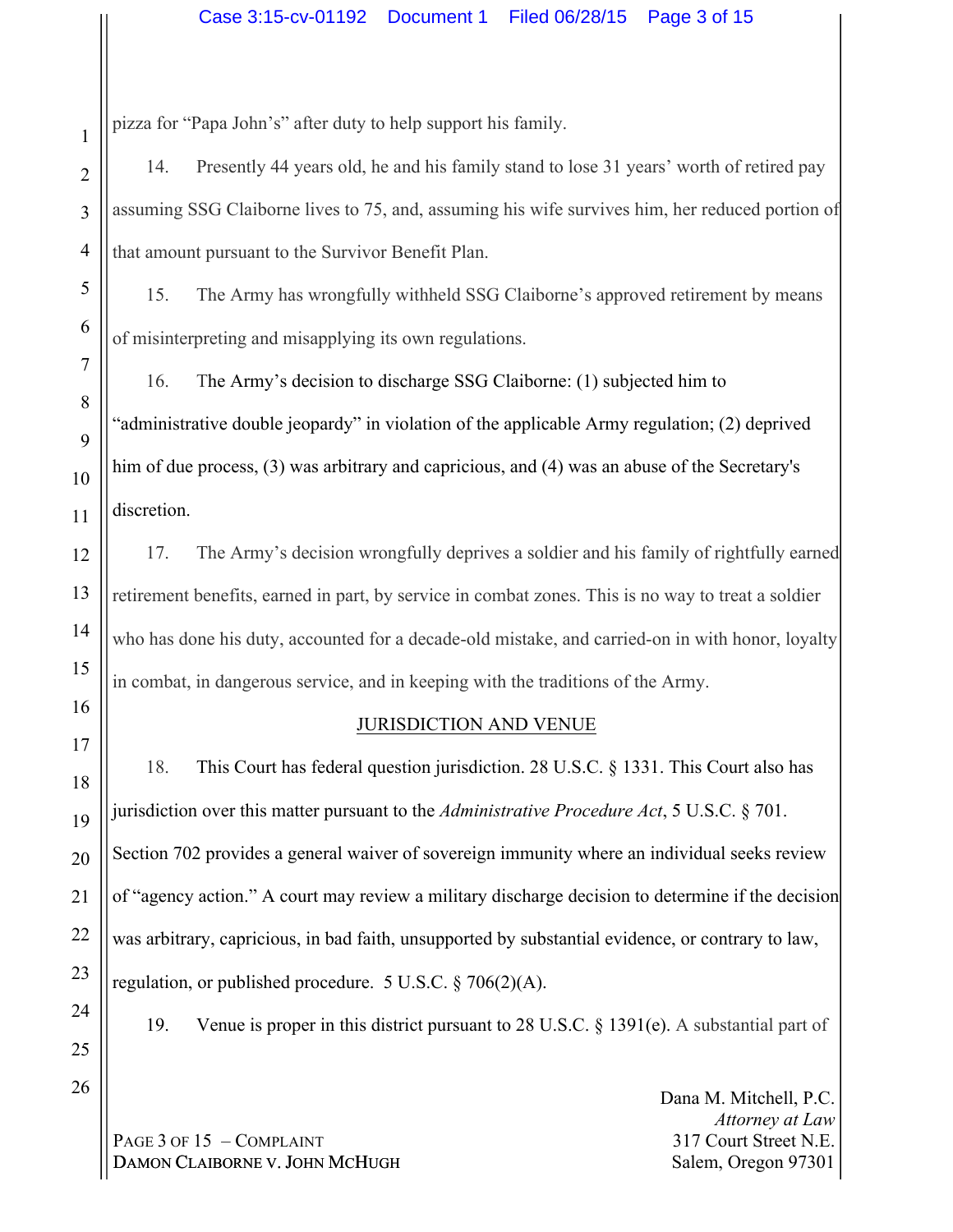pizza for "Papa John's" after duty to help support his family.

14. Presently 44 years old, he and his family stand to lose 31 years' worth of retired pay assuming SSG Claiborne lives to 75, and, assuming his wife survives him, her reduced portion of that amount pursuant to the Survivor Benefit Plan.

15. The Army has wrongfully withheld SSG Claiborne's approved retirement by means of misinterpreting and misapplying its own regulations.

16. The Army's decision to discharge SSG Claiborne: (1) subjected him to "administrative double jeopardy" in violation of the applicable Army regulation; (2) deprived him of due process, (3) was arbitrary and capricious, and (4) was an abuse of the Secretary's discretion.

17. The Army's decision wrongfully deprives a soldier and his family of rightfully earned retirement benefits, earned in part, by service in combat zones. This is no way to treat a soldier who has done his duty, accounted for a decade-old mistake, and carried-on in with honor, loyalty in combat, in dangerous service, and in keeping with the traditions of the Army.

# JURISDICTION AND VENUE

18. This Court has federal question jurisdiction. 28 U.S.C. § 1331. This Court also has jurisdiction over this matter pursuant to the *Administrative Procedure Act*, 5 U.S.C. § 701. Section 702 provides a general waiver of sovereign immunity where an individual seeks review of "agency action." A court may review a military discharge decision to determine if the decision was arbitrary, capricious, in bad faith, unsupported by substantial evidence, or contrary to law, regulation, or published procedure. 5 U.S.C. § 706(2)(A).

19. Venue is proper in this district pursuant to 28 U.S.C. § 1391(e). A substantial part of

PAGE 3 OF 15 - COMPLAINT DAMON CLAIBORNE V. JOHN MCHUGH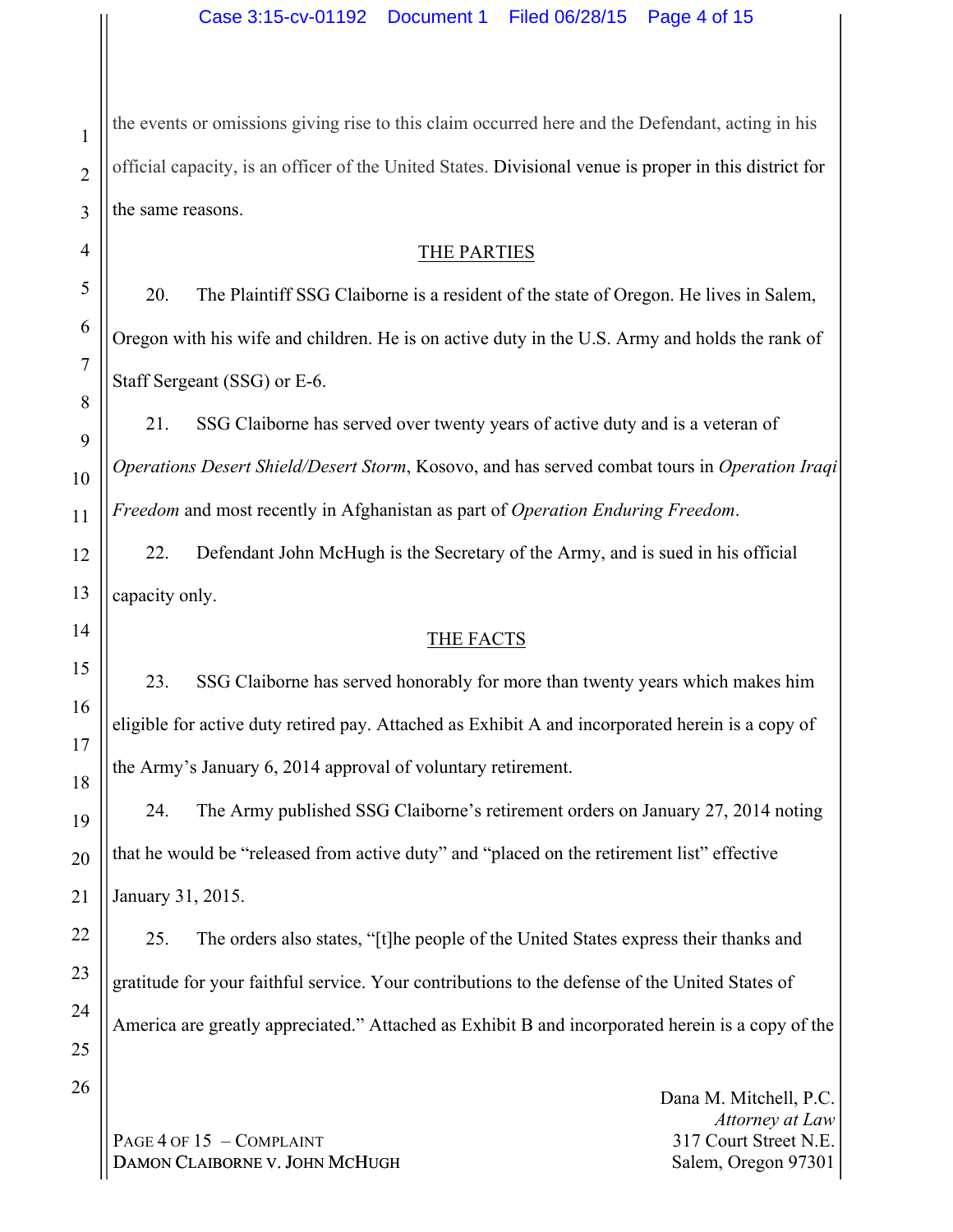the events or omissions giving rise to this claim occurred here and the Defendant, acting in his official capacity, is an officer of the United States. Divisional venue is proper in this district for the same reasons.

### THE PARTIES

20. The Plaintiff SSG Claiborne is a resident of the state of Oregon. He lives in Salem, Oregon with his wife and children. He is on active duty in the U.S. Army and holds the rank of Staff Sergeant (SSG) or E-6.

21. SSG Claiborne has served over twenty years of active duty and is a veteran of *Operations Desert Shield/Desert Storm*, Kosovo, and has served combat tours in *Operation Iraqi Freedom* and most recently in Afghanistan as part of *Operation Enduring Freedom*.

22. Defendant John McHugh is the Secretary of the Army, and is sued in his official capacity only.

# THE FACTS

23. SSG Claiborne has served honorably for more than twenty years which makes him eligible for active duty retired pay. Attached as Exhibit A and incorporated herein is a copy of the Army's January 6, 2014 approval of voluntary retirement.

24. The Army published SSG Claiborne's retirement orders on January 27, 2014 noting that he would be "released from active duty" and "placed on the retirement list" effective January 31, 2015.

25. The orders also states, "[t]he people of the United States express their thanks and gratitude for your faithful service. Your contributions to the defense of the United States of America are greatly appreciated." Attached as Exhibit B and incorporated herein is a copy of the

PAGE 4 OF 15 - COMPLAINT DAMON CLAIBORNE V. JOHN MCHUGH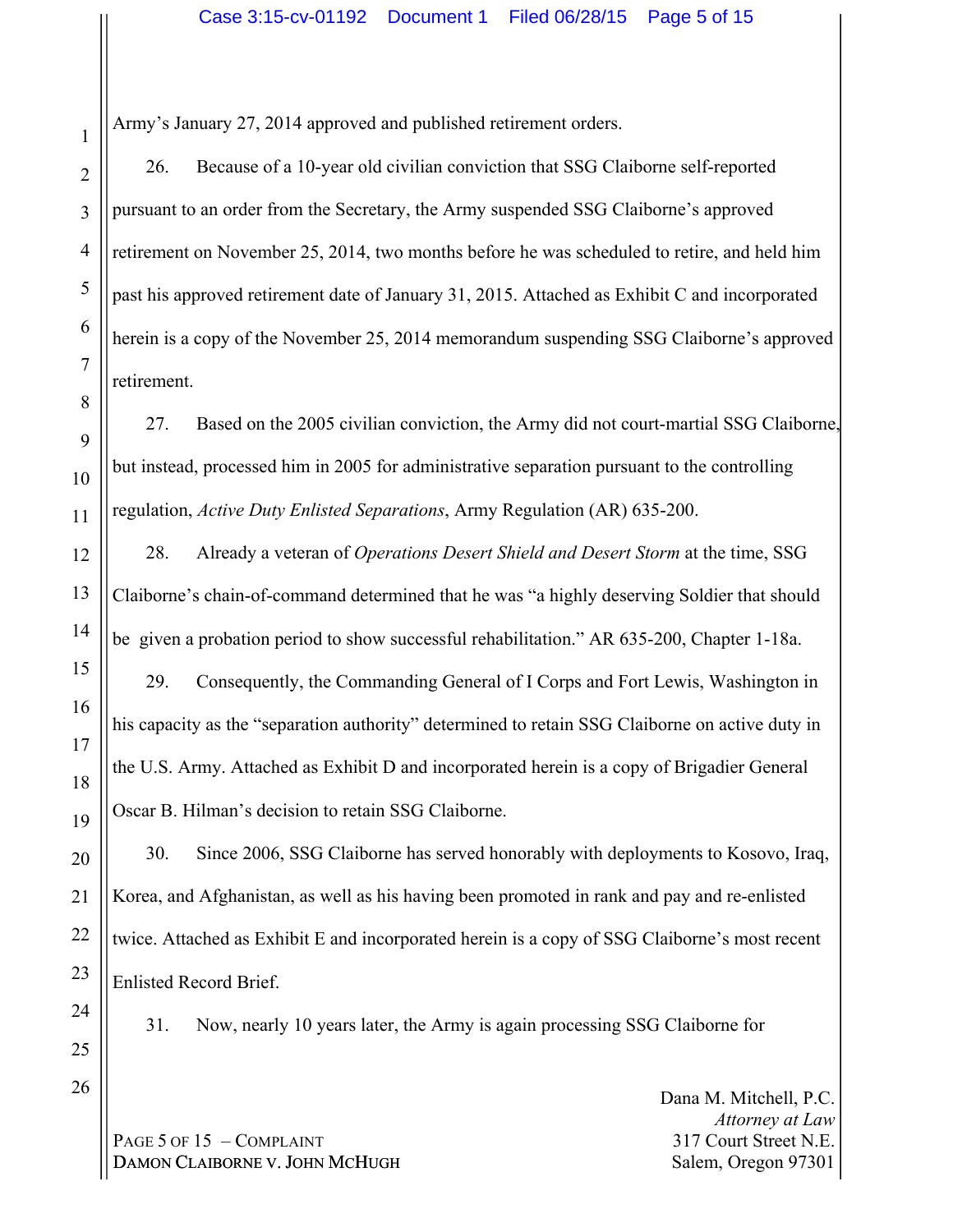26. Because of a 10-year old civilian conviction that SSG Claiborne self-reported pursuant to an order from the Secretary, the Army suspended SSG Claiborne's approved retirement on November 25, 2014, two months before he was scheduled to retire, and held him past his approved retirement date of January 31, 2015. Attached as Exhibit C and incorporated herein is a copy of the November 25, 2014 memorandum suspending SSG Claiborne's approved retirement.

27. Based on the 2005 civilian conviction, the Army did not court-martial SSG Claiborne, but instead, processed him in 2005 for administrative separation pursuant to the controlling regulation, *Active Duty Enlisted Separations*, Army Regulation (AR) 635-200.

28. Already a veteran of *Operations Desert Shield and Desert Storm* at the time, SSG Claiborne's chain-of-command determined that he was "a highly deserving Soldier that should be given a probation period to show successful rehabilitation." AR 635-200, Chapter 1-18a.

29. Consequently, the Commanding General of I Corps and Fort Lewis, Washington in his capacity as the "separation authority" determined to retain SSG Claiborne on active duty in the U.S. Army. Attached as Exhibit D and incorporated herein is a copy of Brigadier General Oscar B. Hilman's decision to retain SSG Claiborne.

30. Since 2006, SSG Claiborne has served honorably with deployments to Kosovo, Iraq, Korea, and Afghanistan, as well as his having been promoted in rank and pay and re-enlisted twice. Attached as Exhibit E and incorporated herein is a copy of SSG Claiborne's most recent Enlisted Record Brief.

24 25

26

1

2

3

4

5

6

7

8

9

10

11

12

13

14

15

16

17

18

19

20

21

22

23

31. Now, nearly 10 years later, the Army is again processing SSG Claiborne for

PAGE 5 OF 15 - COMPLAINT DAMON CLAIBORNE V. JOHN MCHUGH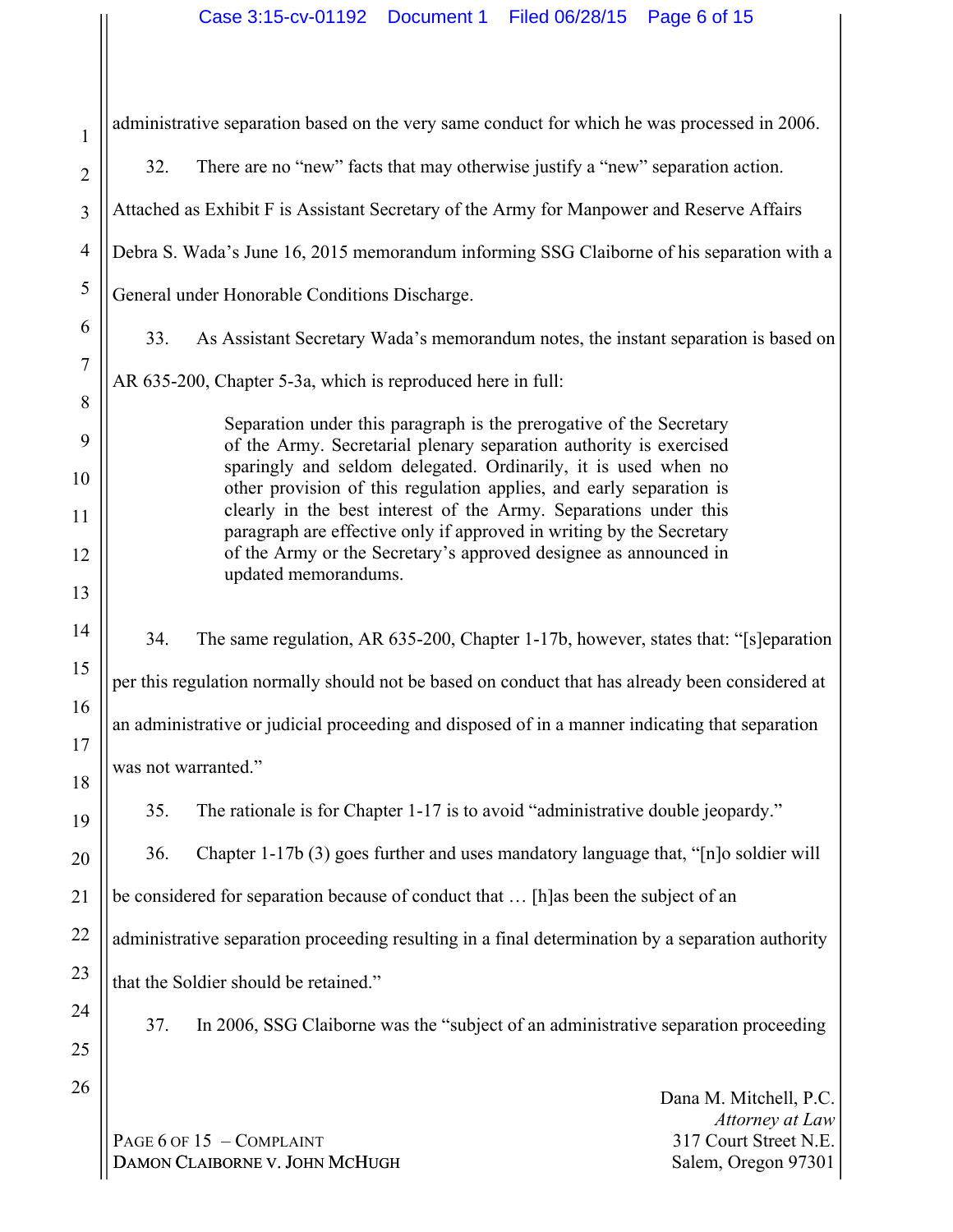| 1              | administrative separation based on the very same conduct for which he was processed in 2006.                                             |  |  |  |  |  |  |
|----------------|------------------------------------------------------------------------------------------------------------------------------------------|--|--|--|--|--|--|
| $\overline{2}$ | There are no "new" facts that may otherwise justify a "new" separation action.<br>32.                                                    |  |  |  |  |  |  |
| 3              | Attached as Exhibit F is Assistant Secretary of the Army for Manpower and Reserve Affairs                                                |  |  |  |  |  |  |
| $\overline{4}$ | Debra S. Wada's June 16, 2015 memorandum informing SSG Claiborne of his separation with a                                                |  |  |  |  |  |  |
| 5              | General under Honorable Conditions Discharge.                                                                                            |  |  |  |  |  |  |
| 6              | 33.<br>As Assistant Secretary Wada's memorandum notes, the instant separation is based on                                                |  |  |  |  |  |  |
| $\overline{7}$ | AR 635-200, Chapter 5-3a, which is reproduced here in full:                                                                              |  |  |  |  |  |  |
| 8              | Separation under this paragraph is the prerogative of the Secretary                                                                      |  |  |  |  |  |  |
| 9<br>10        | of the Army. Secretarial plenary separation authority is exercised<br>sparingly and seldom delegated. Ordinarily, it is used when no     |  |  |  |  |  |  |
| 11             | other provision of this regulation applies, and early separation is<br>clearly in the best interest of the Army. Separations under this  |  |  |  |  |  |  |
| 12             | paragraph are effective only if approved in writing by the Secretary<br>of the Army or the Secretary's approved designee as announced in |  |  |  |  |  |  |
| 13             | updated memorandums.                                                                                                                     |  |  |  |  |  |  |
| 14             | 34.<br>The same regulation, AR 635-200, Chapter 1-17b, however, states that: "[s]eparation                                               |  |  |  |  |  |  |
| 15             | per this regulation normally should not be based on conduct that has already been considered at                                          |  |  |  |  |  |  |
| 16             | an administrative or judicial proceeding and disposed of in a manner indicating that separation                                          |  |  |  |  |  |  |
| 17             | was not warranted."                                                                                                                      |  |  |  |  |  |  |
| 18<br>19       | The rationale is for Chapter 1-17 is to avoid "administrative double jeopardy."<br>35.                                                   |  |  |  |  |  |  |
| 20             | 36.<br>Chapter 1-17b (3) goes further and uses mandatory language that, "[n]o soldier will                                               |  |  |  |  |  |  |
| 21             | be considered for separation because of conduct that  [h] as been the subject of an                                                      |  |  |  |  |  |  |
| 22             | administrative separation proceeding resulting in a final determination by a separation authority                                        |  |  |  |  |  |  |
| 23             | that the Soldier should be retained."                                                                                                    |  |  |  |  |  |  |
| 24             | 37.<br>In 2006, SSG Claiborne was the "subject of an administrative separation proceeding                                                |  |  |  |  |  |  |
| 25             |                                                                                                                                          |  |  |  |  |  |  |
| 26             | Dana M. Mitchell, P.C.                                                                                                                   |  |  |  |  |  |  |
|                | Attorney at Law<br>PAGE 6 OF 15 - COMPLAINT<br>317 Court Street N.E.                                                                     |  |  |  |  |  |  |

DAMON CLAIBORNE V. JOHN MCHUGH

317 Court Street N.E. Salem, Oregon 97301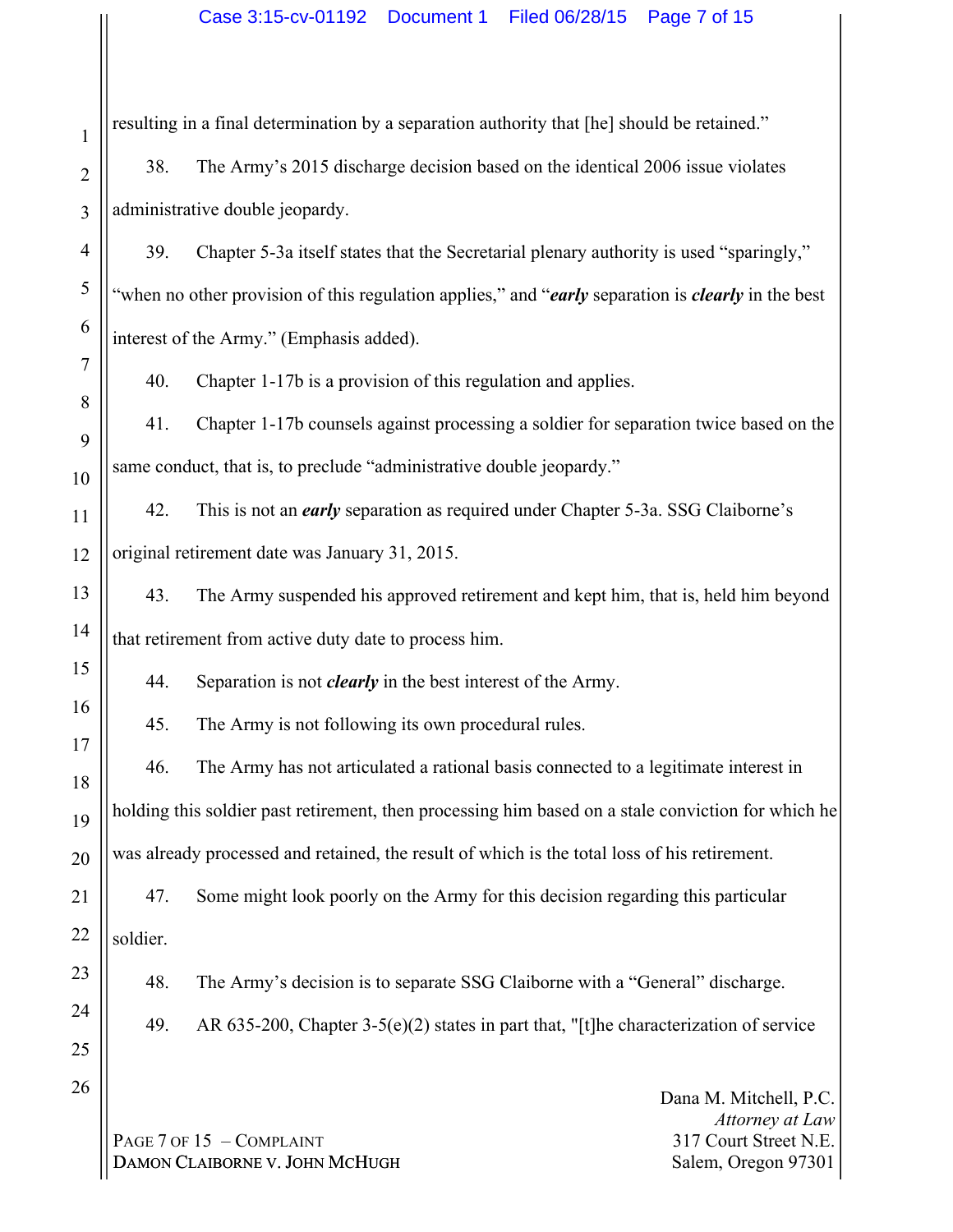resulting in a final determination by a separation authority that [he] should be retained."

38. The Army's 2015 discharge decision based on the identical 2006 issue violates administrative double jeopardy.

39. Chapter 5-3a itself states that the Secretarial plenary authority is used "sparingly," "when no other provision of this regulation applies," and "*early* separation is *clearly* in the best interest of the Army." (Emphasis added).

40. Chapter 1-17b is a provision of this regulation and applies.

41. Chapter 1-17b counsels against processing a soldier for separation twice based on the same conduct, that is, to preclude "administrative double jeopardy."

12 42. This is not an *early* separation as required under Chapter 5-3a. SSG Claiborne's original retirement date was January 31, 2015.

43. The Army suspended his approved retirement and kept him, that is, held him beyond that retirement from active duty date to process him.

44. Separation is not *clearly* in the best interest of the Army.

45. The Army is not following its own procedural rules.

46. The Army has not articulated a rational basis connected to a legitimate interest in holding this soldier past retirement, then processing him based on a stale conviction for which he was already processed and retained, the result of which is the total loss of his retirement.

47. Some might look poorly on the Army for this decision regarding this particular soldier.

48. The Army's decision is to separate SSG Claiborne with a "General" discharge.

24

1

2

3

4

5

6

7

8

9

10

11

13

14

15

16

17

18

19

20

21

22

23

25

26

49. AR 635-200, Chapter 3-5(e)(2) states in part that, "[t]he characterization of service

PAGE 7 OF 15 - COMPLAINT DAMON CLAIBORNE V. JOHN MCHUGH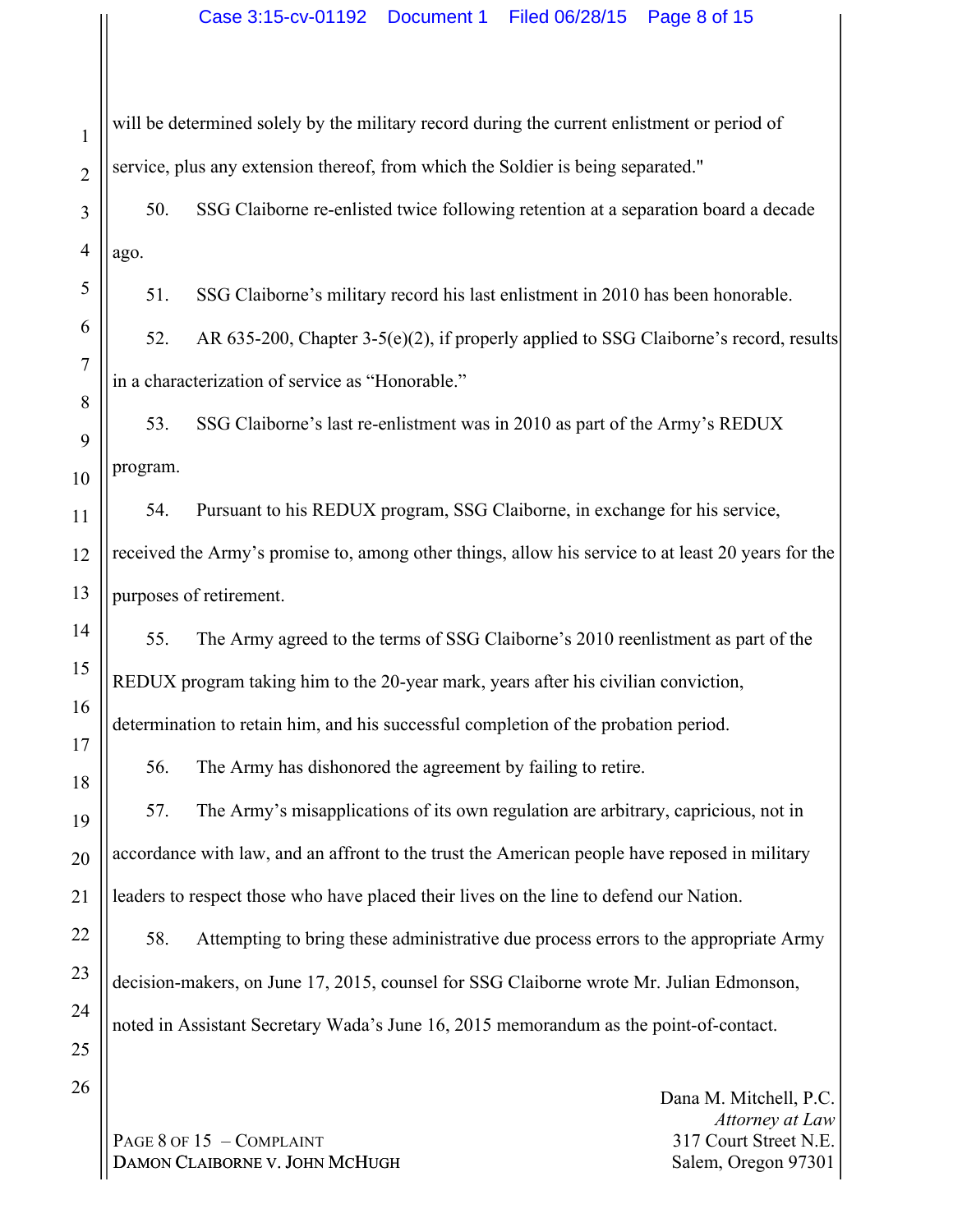will be determined solely by the military record during the current enlistment or period of service, plus any extension thereof, from which the Soldier is being separated."

50. SSG Claiborne re-enlisted twice following retention at a separation board a decade ago.

51. SSG Claiborne's military record his last enlistment in 2010 has been honorable.

52. AR 635-200, Chapter 3-5(e)(2), if properly applied to SSG Claiborne's record, results in a characterization of service as "Honorable."

53. SSG Claiborne's last re-enlistment was in 2010 as part of the Army's REDUX program.

54. Pursuant to his REDUX program, SSG Claiborne, in exchange for his service, received the Army's promise to, among other things, allow his service to at least 20 years for the purposes of retirement.

55. The Army agreed to the terms of SSG Claiborne's 2010 reenlistment as part of the REDUX program taking him to the 20-year mark, years after his civilian conviction, determination to retain him, and his successful completion of the probation period.

56. The Army has dishonored the agreement by failing to retire.

57. The Army's misapplications of its own regulation are arbitrary, capricious, not in accordance with law, and an affront to the trust the American people have reposed in military leaders to respect those who have placed their lives on the line to defend our Nation.

58. Attempting to bring these administrative due process errors to the appropriate Army decision-makers, on June 17, 2015, counsel for SSG Claiborne wrote Mr. Julian Edmonson, noted in Assistant Secretary Wada's June 16, 2015 memorandum as the point-of-contact.

PAGE 8 OF 15 - COMPLAINT DAMON CLAIBORNE V. JOHN MCHUGH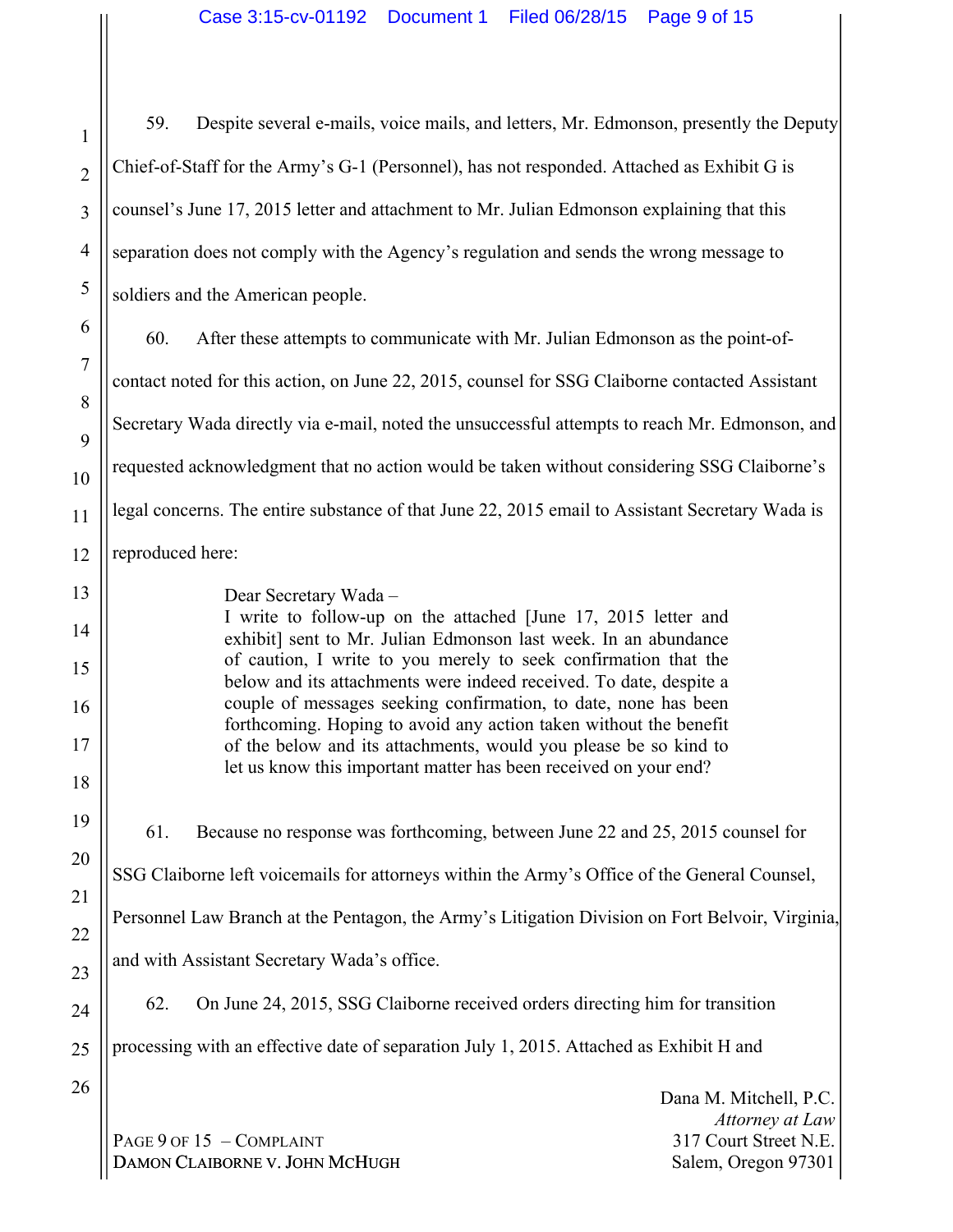59. Despite several e-mails, voice mails, and letters, Mr. Edmonson, presently the Deputy Chief-of-Staff for the Army's G-1 (Personnel), has not responded. Attached as Exhibit G is counsel's June 17, 2015 letter and attachment to Mr. Julian Edmonson explaining that this separation does not comply with the Agency's regulation and sends the wrong message to soldiers and the American people.

60. After these attempts to communicate with Mr. Julian Edmonson as the point-ofcontact noted for this action, on June 22, 2015, counsel for SSG Claiborne contacted Assistant Secretary Wada directly via e-mail, noted the unsuccessful attempts to reach Mr. Edmonson, and requested acknowledgment that no action would be taken without considering SSG Claiborne's legal concerns. The entire substance of that June 22, 2015 email to Assistant Secretary Wada is reproduced here:

13

1

2

3

4

5

6

7

8

9

10

11

12

14

15

16

17

18

19

20

21

22

23

24

Dear Secretary Wada –

I write to follow-up on the attached [June 17, 2015 letter and exhibit] sent to Mr. Julian Edmonson last week. In an abundance of caution, I write to you merely to seek confirmation that the below and its attachments were indeed received. To date, despite a couple of messages seeking confirmation, to date, none has been forthcoming. Hoping to avoid any action taken without the benefit of the below and its attachments, would you please be so kind to let us know this important matter has been received on your end?

61. Because no response was forthcoming, between June 22 and 25, 2015 counsel for

SSG Claiborne left voicemails for attorneys within the Army's Office of the General Counsel,

Personnel Law Branch at the Pentagon, the Army's Litigation Division on Fort Belvoir, Virginia,

and with Assistant Secretary Wada's office.

62. On June 24, 2015, SSG Claiborne received orders directing him for transition

25 processing with an effective date of separation July 1, 2015. Attached as Exhibit H and

26

PAGE 9 OF 15 - COMPLAINT DAMON CLAIBORNE V. JOHN MCHUGH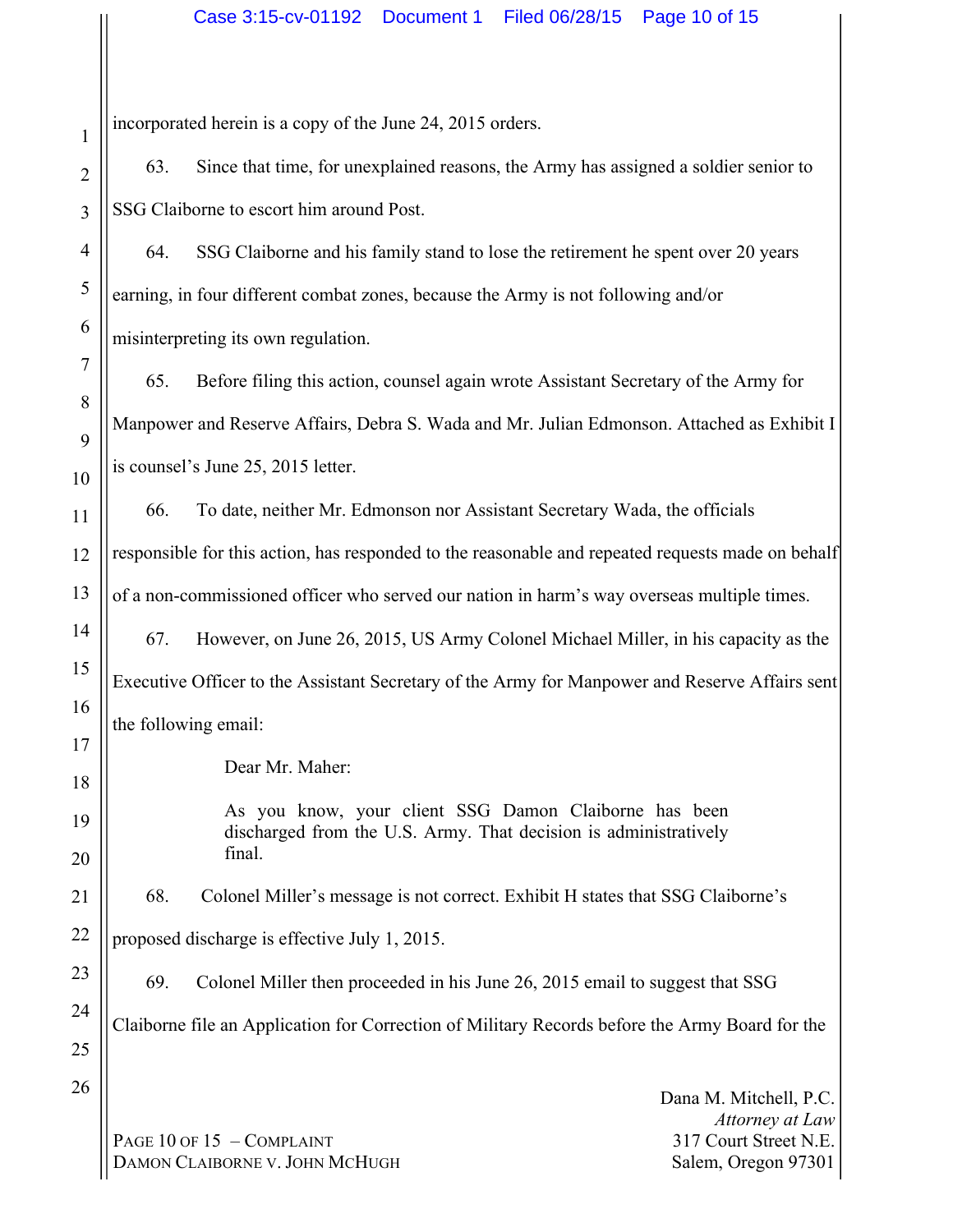incorporated herein is a copy of the June 24, 2015 orders.

63. Since that time, for unexplained reasons, the Army has assigned a soldier senior to SSG Claiborne to escort him around Post.

64. SSG Claiborne and his family stand to lose the retirement he spent over 20 years earning, in four different combat zones, because the Army is not following and/or misinterpreting its own regulation.

65. Before filing this action, counsel again wrote Assistant Secretary of the Army for Manpower and Reserve Affairs, Debra S. Wada and Mr. Julian Edmonson. Attached as Exhibit I is counsel's June 25, 2015 letter.

66. To date, neither Mr. Edmonson nor Assistant Secretary Wada, the officials responsible for this action, has responded to the reasonable and repeated requests made on behalf of a non-commissioned officer who served our nation in harm's way overseas multiple times.

67. However, on June 26, 2015, US Army Colonel Michael Miller, in his capacity as the Executive Officer to the Assistant Secretary of the Army for Manpower and Reserve Affairs sent the following email:

Dear Mr. Maher:

As you know, your client SSG Damon Claiborne has been discharged from the U.S. Army. That decision is administratively final.

68. Colonel Miller's message is not correct. Exhibit H states that SSG Claiborne's

proposed discharge is effective July 1, 2015.

69. Colonel Miller then proceeded in his June 26, 2015 email to suggest that SSG Claiborne file an Application for Correction of Military Records before the Army Board for the

PAGE 10 OF 15 - COMPLAINT DAMON CLAIBORNE V. JOHN MCHUGH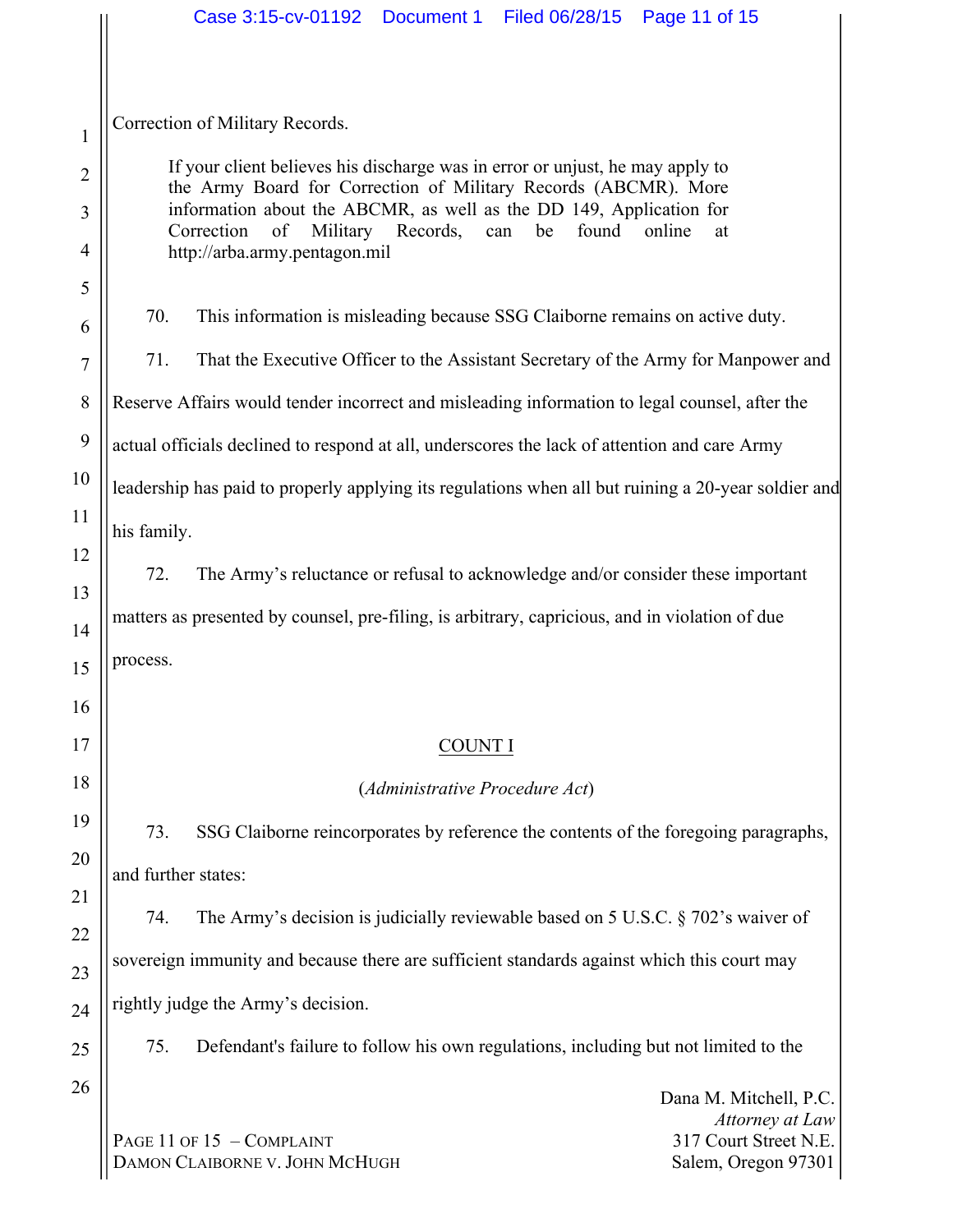|                |                                                                                                                                                    | Case 3:15-cv-01192  Document 1  Filed 06/28/15                                      |                                |  | Page 11 of 15                                                                                       |  |  |  |  |
|----------------|----------------------------------------------------------------------------------------------------------------------------------------------------|-------------------------------------------------------------------------------------|--------------------------------|--|-----------------------------------------------------------------------------------------------------|--|--|--|--|
|                |                                                                                                                                                    |                                                                                     |                                |  |                                                                                                     |  |  |  |  |
|                | Correction of Military Records.                                                                                                                    |                                                                                     |                                |  |                                                                                                     |  |  |  |  |
| 1              |                                                                                                                                                    |                                                                                     |                                |  |                                                                                                     |  |  |  |  |
| $\overline{2}$ | If your client believes his discharge was in error or unjust, he may apply to<br>the Army Board for Correction of Military Records (ABCMR). More   |                                                                                     |                                |  |                                                                                                     |  |  |  |  |
| 3              | information about the ABCMR, as well as the DD 149, Application for<br>Military Records,<br>found<br>Correction<br>of<br>be<br>online<br>can<br>at |                                                                                     |                                |  |                                                                                                     |  |  |  |  |
| 4              | http://arba.army.pentagon.mil                                                                                                                      |                                                                                     |                                |  |                                                                                                     |  |  |  |  |
| 5<br>6         | 70.                                                                                                                                                | This information is misleading because SSG Claiborne remains on active duty.        |                                |  |                                                                                                     |  |  |  |  |
| 7              | 71.                                                                                                                                                |                                                                                     |                                |  | That the Executive Officer to the Assistant Secretary of the Army for Manpower and                  |  |  |  |  |
| 8              | Reserve Affairs would tender incorrect and misleading information to legal counsel, after the                                                      |                                                                                     |                                |  |                                                                                                     |  |  |  |  |
| 9              | actual officials declined to respond at all, underscores the lack of attention and care Army                                                       |                                                                                     |                                |  |                                                                                                     |  |  |  |  |
| 10             |                                                                                                                                                    |                                                                                     |                                |  | leadership has paid to properly applying its regulations when all but ruining a 20-year soldier and |  |  |  |  |
| 11             | his family.                                                                                                                                        |                                                                                     |                                |  |                                                                                                     |  |  |  |  |
| 12             | 72.                                                                                                                                                |                                                                                     |                                |  | The Army's reluctance or refusal to acknowledge and/or consider these important                     |  |  |  |  |
| 13             | matters as presented by counsel, pre-filing, is arbitrary, capricious, and in violation of due                                                     |                                                                                     |                                |  |                                                                                                     |  |  |  |  |
| 14             | process.                                                                                                                                           |                                                                                     |                                |  |                                                                                                     |  |  |  |  |
| 15             |                                                                                                                                                    |                                                                                     |                                |  |                                                                                                     |  |  |  |  |
| 16             |                                                                                                                                                    |                                                                                     |                                |  |                                                                                                     |  |  |  |  |
| 17             |                                                                                                                                                    |                                                                                     | <b>COUNT I</b>                 |  |                                                                                                     |  |  |  |  |
| 18             |                                                                                                                                                    |                                                                                     | (Administrative Procedure Act) |  |                                                                                                     |  |  |  |  |
| 19             | 73.                                                                                                                                                |                                                                                     |                                |  | SSG Claiborne reincorporates by reference the contents of the foregoing paragraphs,                 |  |  |  |  |
| 20             | and further states:                                                                                                                                |                                                                                     |                                |  |                                                                                                     |  |  |  |  |
| 21             | 74.                                                                                                                                                |                                                                                     |                                |  | The Army's decision is judicially reviewable based on 5 U.S.C. $\S$ 702's waiver of                 |  |  |  |  |
| 22             | sovereign immunity and because there are sufficient standards against which this court may                                                         |                                                                                     |                                |  |                                                                                                     |  |  |  |  |
| 23<br>24       |                                                                                                                                                    | rightly judge the Army's decision.                                                  |                                |  |                                                                                                     |  |  |  |  |
| 25             | 75.                                                                                                                                                | Defendant's failure to follow his own regulations, including but not limited to the |                                |  |                                                                                                     |  |  |  |  |
| 26             |                                                                                                                                                    |                                                                                     |                                |  |                                                                                                     |  |  |  |  |
|                |                                                                                                                                                    |                                                                                     |                                |  | Dana M. Mitchell, P.C.<br>Attorney at Law                                                           |  |  |  |  |
|                |                                                                                                                                                    | PAGE 11 OF 15 - COMPLAINT<br>DAMON CLAIBORNE V. JOHN MCHUGH                         |                                |  | 317 Court Street N.E.<br>Salem, Oregon 97301                                                        |  |  |  |  |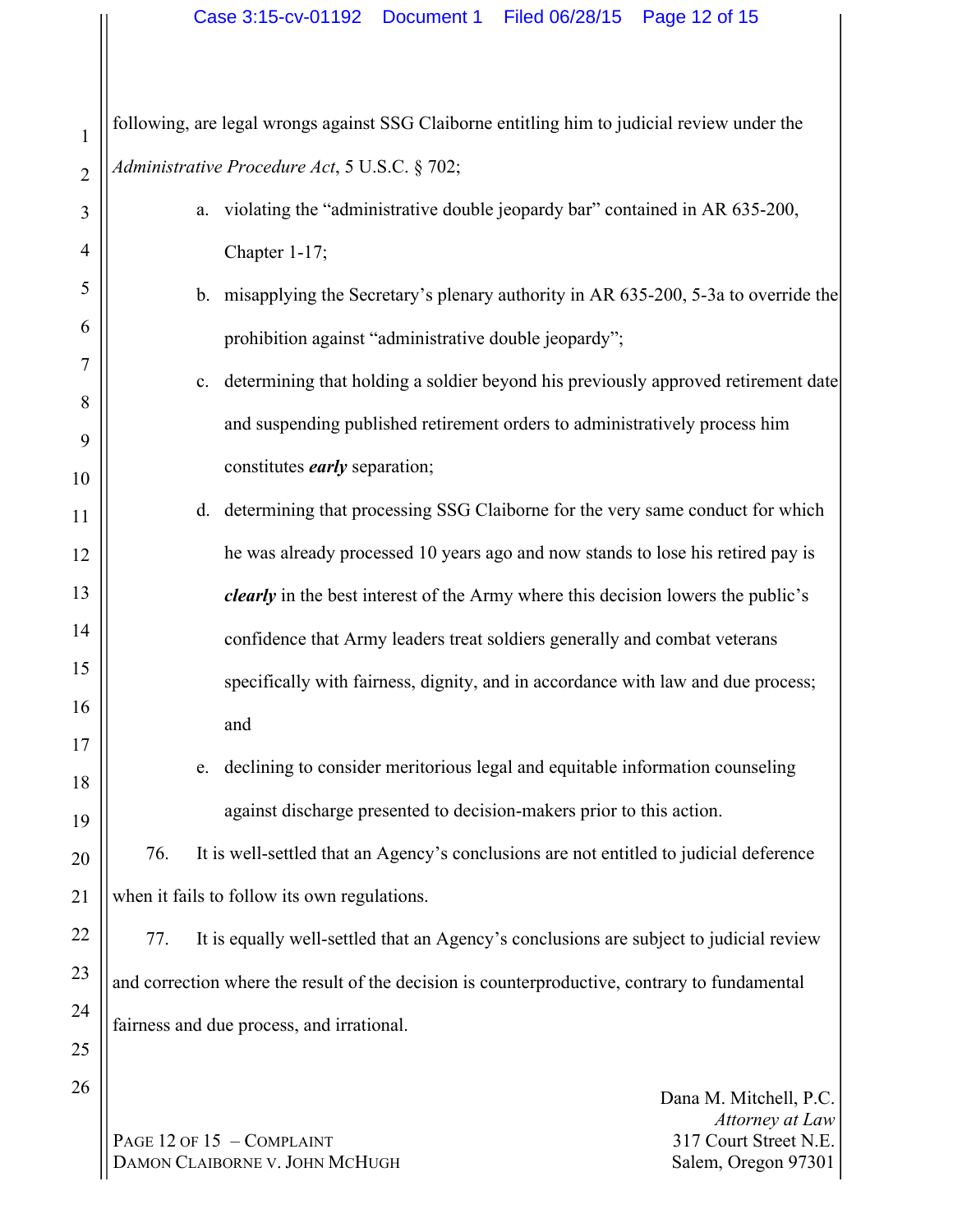1 2 following, are legal wrongs against SSG Claiborne entitling him to judicial review under the *Administrative Procedure Act*, 5 U.S.C. § 702;

3 4 5 6 7 8 9 10 11 12 13 14 15 16 17 18 19 a. violating the "administrative double jeopardy bar" contained in AR 635-200, Chapter 1-17; b. misapplying the Secretary's plenary authority in AR 635-200, 5-3a to override the prohibition against "administrative double jeopardy"; c. determining that holding a soldier beyond his previously approved retirement date and suspending published retirement orders to administratively process him constitutes *early* separation; d. determining that processing SSG Claiborne for the very same conduct for which he was already processed 10 years ago and now stands to lose his retired pay is *clearly* in the best interest of the Army where this decision lowers the public's confidence that Army leaders treat soldiers generally and combat veterans specifically with fairness, dignity, and in accordance with law and due process; and e. declining to consider meritorious legal and equitable information counseling against discharge presented to decision-makers prior to this action.

76. It is well-settled that an Agency's conclusions are not entitled to judicial deference when it fails to follow its own regulations.

77. It is equally well-settled that an Agency's conclusions are subject to judicial review and correction where the result of the decision is counterproductive, contrary to fundamental fairness and due process, and irrational.

PAGE 12 OF 15 - COMPLAINT DAMON CLAIBORNE V. JOHN MCHUGH

20

21

22

23

24

25

26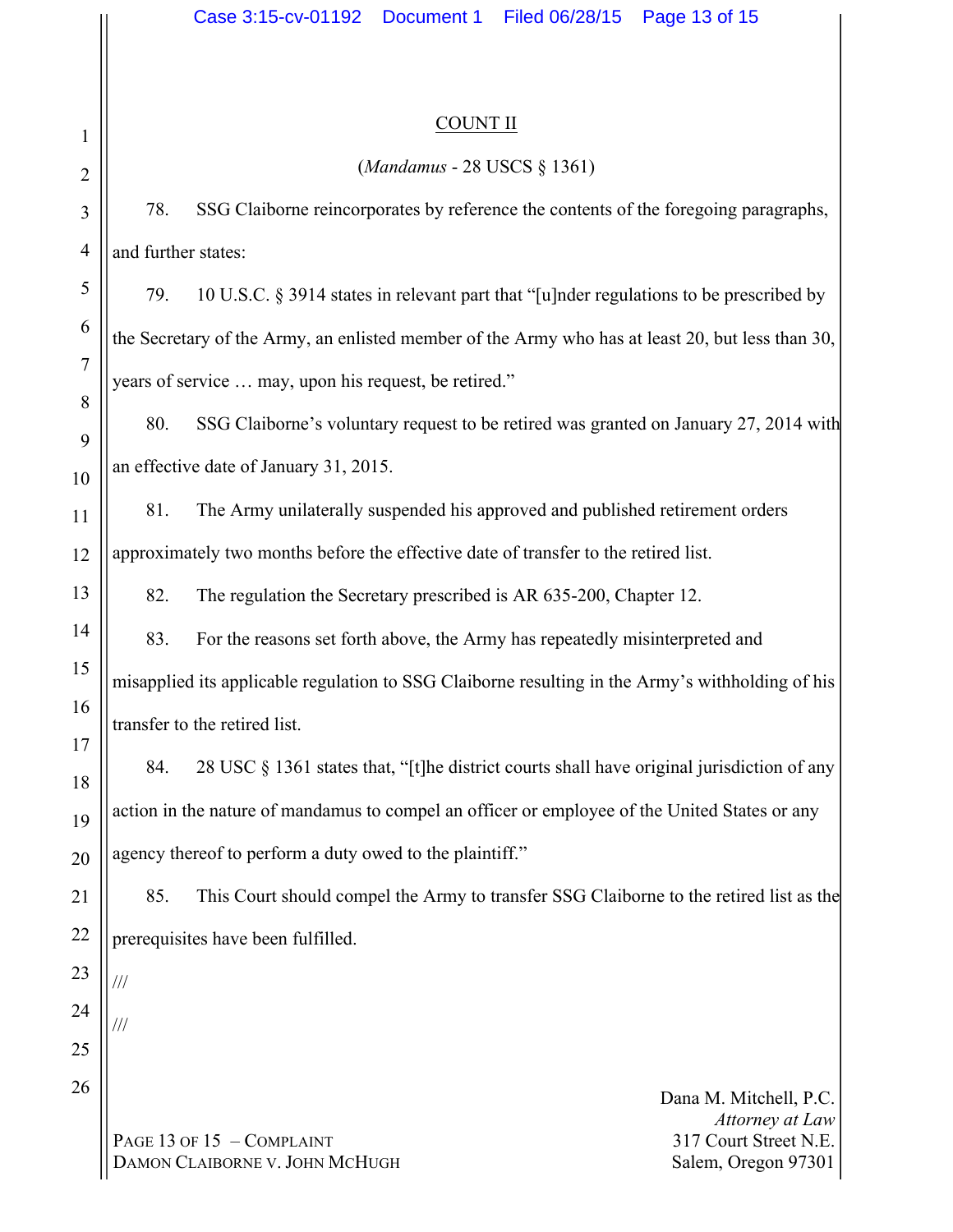///

///

#### COUNT II

#### (*Mandamus* - 28 USCS § 1361)

78. SSG Claiborne reincorporates by reference the contents of the foregoing paragraphs, and further states:

79. 10 U.S.C. § 3914 states in relevant part that "[u]nder regulations to be prescribed by the Secretary of the Army, an enlisted member of the Army who has at least 20, but less than 30, years of service … may, upon his request, be retired."

80. SSG Claiborne's voluntary request to be retired was granted on January 27, 2014 with an effective date of January 31, 2015.

81. The Army unilaterally suspended his approved and published retirement orders approximately two months before the effective date of transfer to the retired list.

82. The regulation the Secretary prescribed is AR 635-200, Chapter 12.

83. For the reasons set forth above, the Army has repeatedly misinterpreted and misapplied its applicable regulation to SSG Claiborne resulting in the Army's withholding of his transfer to the retired list.

84. 28 USC § 1361 states that, "[t]he district courts shall have original jurisdiction of any action in the nature of mandamus to compel an officer or employee of the United States or any agency thereof to perform a duty owed to the plaintiff."

85. This Court should compel the Army to transfer SSG Claiborne to the retired list as the prerequisites have been fulfilled.

PAGE 13 OF 15 - COMPLAINT DAMON CLAIBORNE V. JOHN MCHUGH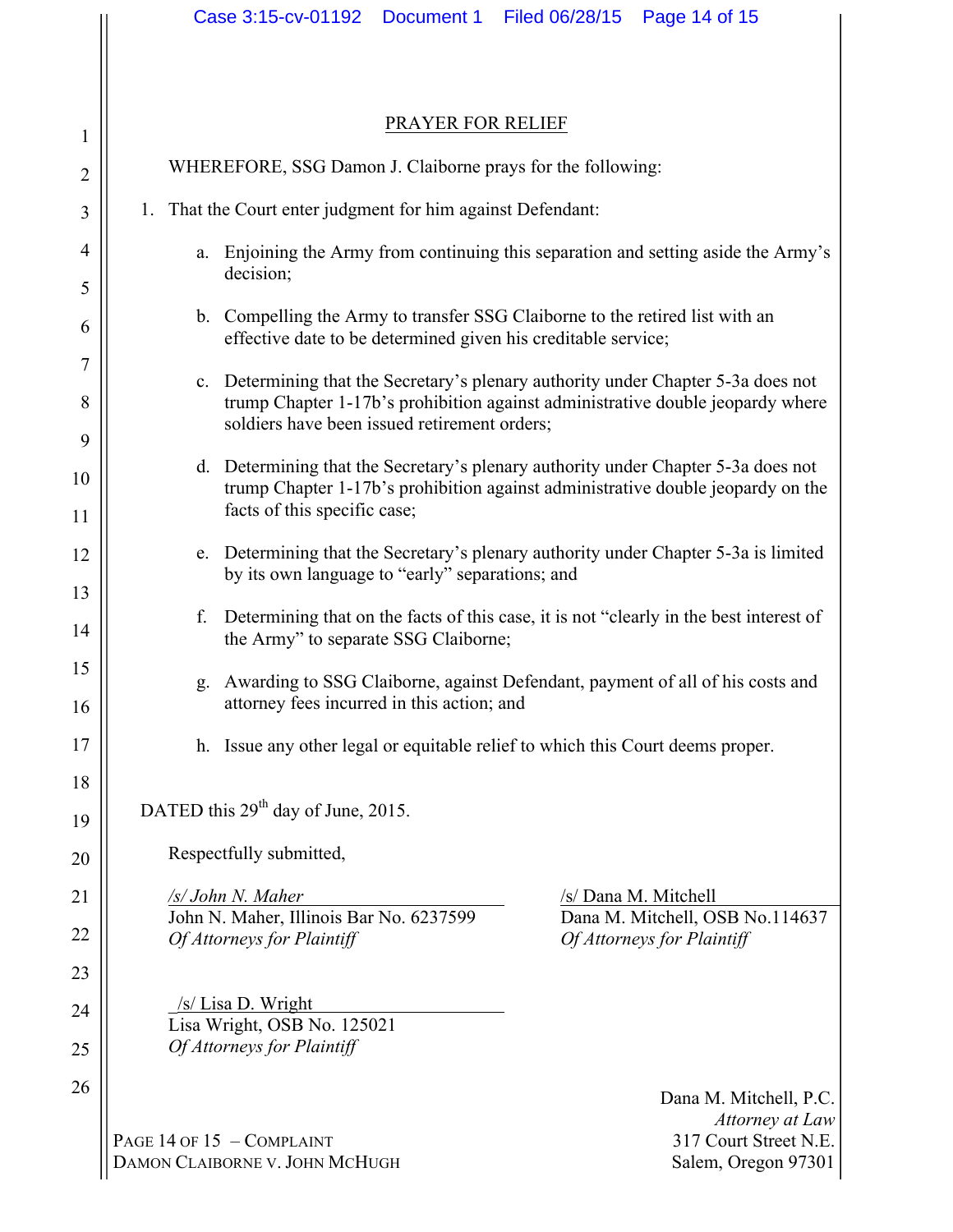|                     | Case 3:15-cv-01192<br>Filed 06/28/15<br>Document 1<br>Page 14 of 15                                                                                                                                                 |  |  |  |  |  |  |  |
|---------------------|---------------------------------------------------------------------------------------------------------------------------------------------------------------------------------------------------------------------|--|--|--|--|--|--|--|
|                     |                                                                                                                                                                                                                     |  |  |  |  |  |  |  |
|                     | PRAYER FOR RELIEF                                                                                                                                                                                                   |  |  |  |  |  |  |  |
| $\mathbf{1}$        |                                                                                                                                                                                                                     |  |  |  |  |  |  |  |
| $\overline{2}$      | WHEREFORE, SSG Damon J. Claiborne prays for the following:                                                                                                                                                          |  |  |  |  |  |  |  |
| 3                   | That the Court enter judgment for him against Defendant:<br>1.                                                                                                                                                      |  |  |  |  |  |  |  |
| $\overline{4}$<br>5 | Enjoining the Army from continuing this separation and setting aside the Army's<br>a.<br>decision;                                                                                                                  |  |  |  |  |  |  |  |
| 6                   | b. Compelling the Army to transfer SSG Claiborne to the retired list with an<br>effective date to be determined given his creditable service;                                                                       |  |  |  |  |  |  |  |
| 7<br>8              | c. Determining that the Secretary's plenary authority under Chapter 5-3a does not<br>trump Chapter 1-17b's prohibition against administrative double jeopardy where<br>soldiers have been issued retirement orders; |  |  |  |  |  |  |  |
| 9                   |                                                                                                                                                                                                                     |  |  |  |  |  |  |  |
| 10<br>11            | Determining that the Secretary's plenary authority under Chapter 5-3a does not<br>d.<br>trump Chapter 1-17b's prohibition against administrative double jeopardy on the<br>facts of this specific case;             |  |  |  |  |  |  |  |
| 12                  | Determining that the Secretary's plenary authority under Chapter 5-3a is limited<br>e.<br>by its own language to "early" separations; and                                                                           |  |  |  |  |  |  |  |
| 13<br>14            | Determining that on the facts of this case, it is not "clearly in the best interest of<br>f.<br>the Army" to separate SSG Claiborne;                                                                                |  |  |  |  |  |  |  |
| 15<br>16            | Awarding to SSG Claiborne, against Defendant, payment of all of his costs and<br>g.<br>attorney fees incurred in this action; and                                                                                   |  |  |  |  |  |  |  |
| 17                  | h. Issue any other legal or equitable relief to which this Court deems proper.                                                                                                                                      |  |  |  |  |  |  |  |
| 18<br>19            | DATED this 29 <sup>th</sup> day of June, 2015.                                                                                                                                                                      |  |  |  |  |  |  |  |
| 20                  | Respectfully submitted,                                                                                                                                                                                             |  |  |  |  |  |  |  |
| 21                  | /s/ John N. Maher<br>/s/ Dana M. Mitchell                                                                                                                                                                           |  |  |  |  |  |  |  |
| 22                  | John N. Maher, Illinois Bar No. 6237599<br>Dana M. Mitchell, OSB No.114637<br>Of Attorneys for Plaintiff<br>Of Attorneys for Plaintiff                                                                              |  |  |  |  |  |  |  |
| 23                  |                                                                                                                                                                                                                     |  |  |  |  |  |  |  |
| 24                  | /s/Lisa D. Wright<br>Lisa Wright, OSB No. 125021                                                                                                                                                                    |  |  |  |  |  |  |  |
| 25                  | Of Attorneys for Plaintiff                                                                                                                                                                                          |  |  |  |  |  |  |  |
| 26                  | Dana M. Mitchell, P.C.<br>Attorney at Law<br>PAGE 14 OF 15 - COMPLAINT<br>317 Court Street N.E.<br>DAMON CLAIBORNE V. JOHN MCHUGH<br>Salem, Oregon 97301                                                            |  |  |  |  |  |  |  |